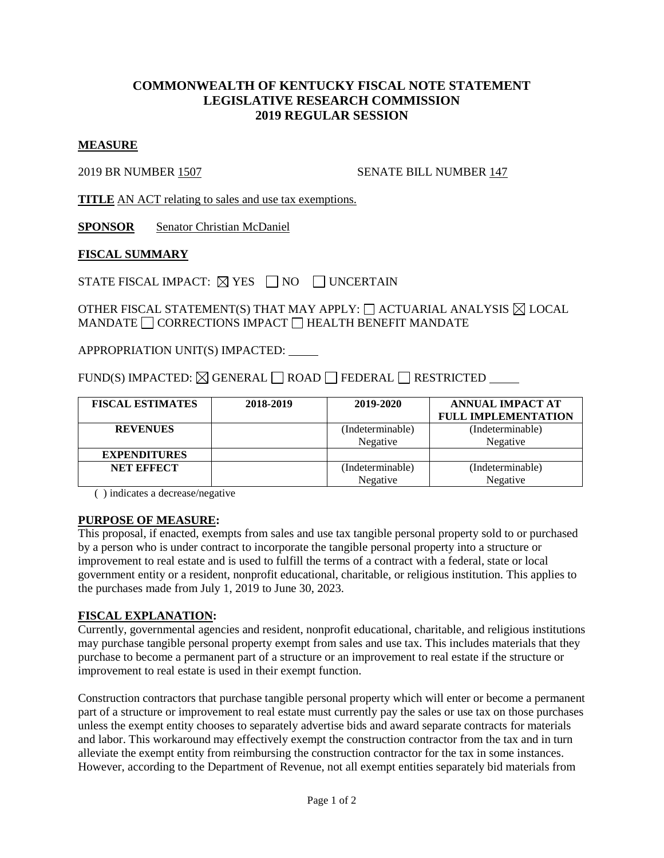# **COMMONWEALTH OF KENTUCKY FISCAL NOTE STATEMENT LEGISLATIVE RESEARCH COMMISSION 2019 REGULAR SESSION**

#### **MEASURE**

2019 BR NUMBER 1507 SENATE BILL NUMBER 147

**TITLE** AN ACT relating to sales and use tax exemptions.

**SPONSOR** Senator Christian McDaniel

### **FISCAL SUMMARY**

STATE FISCAL IMPACT:  $\boxtimes$  YES  $\Box$  NO  $\Box$  UNCERTAIN

OTHER FISCAL STATEMENT(S) THAT MAY APPLY:  $\Box$  ACTUARIAL ANALYSIS  $\boxtimes$  LOCAL MANDATE  $\Box$  CORRECTIONS IMPACT  $\Box$  HEALTH BENEFIT MANDATE

APPROPRIATION UNIT(S) IMPACTED:

FUND(S) IMPACTED:  $\boxtimes$  GENERAL  $\Box$  ROAD  $\Box$  FEDERAL  $\Box$  RESTRICTED

| <b>FISCAL ESTIMATES</b> | 2018-2019 | 2019-2020        | <b>ANNUAL IMPACT AT</b>    |
|-------------------------|-----------|------------------|----------------------------|
|                         |           |                  | <b>FULL IMPLEMENTATION</b> |
| <b>REVENUES</b>         |           | (Indeterminable) | (Indeterminable)           |
|                         |           | Negative         | Negative                   |
| <b>EXPENDITURES</b>     |           |                  |                            |
| <b>NET EFFECT</b>       |           | (Indeterminable) | (Indeterminable)           |
|                         |           | Negative         | Negative                   |

( ) indicates a decrease/negative

#### **PURPOSE OF MEASURE:**

This proposal, if enacted, exempts from sales and use tax tangible personal property sold to or purchased by a person who is under contract to incorporate the tangible personal property into a structure or improvement to real estate and is used to fulfill the terms of a contract with a federal, state or local government entity or a resident, nonprofit educational, charitable, or religious institution. This applies to the purchases made from July 1, 2019 to June 30, 2023.

### **FISCAL EXPLANATION:**

Currently, governmental agencies and resident, nonprofit educational, charitable, and religious institutions may purchase tangible personal property exempt from sales and use tax. This includes materials that they purchase to become a permanent part of a structure or an improvement to real estate if the structure or improvement to real estate is used in their exempt function.

Construction contractors that purchase tangible personal property which will enter or become a permanent part of a structure or improvement to real estate must currently pay the sales or use tax on those purchases unless the exempt entity chooses to separately advertise bids and award separate contracts for materials and labor. This workaround may effectively exempt the construction contractor from the tax and in turn alleviate the exempt entity from reimbursing the construction contractor for the tax in some instances. However, according to the Department of Revenue, not all exempt entities separately bid materials from